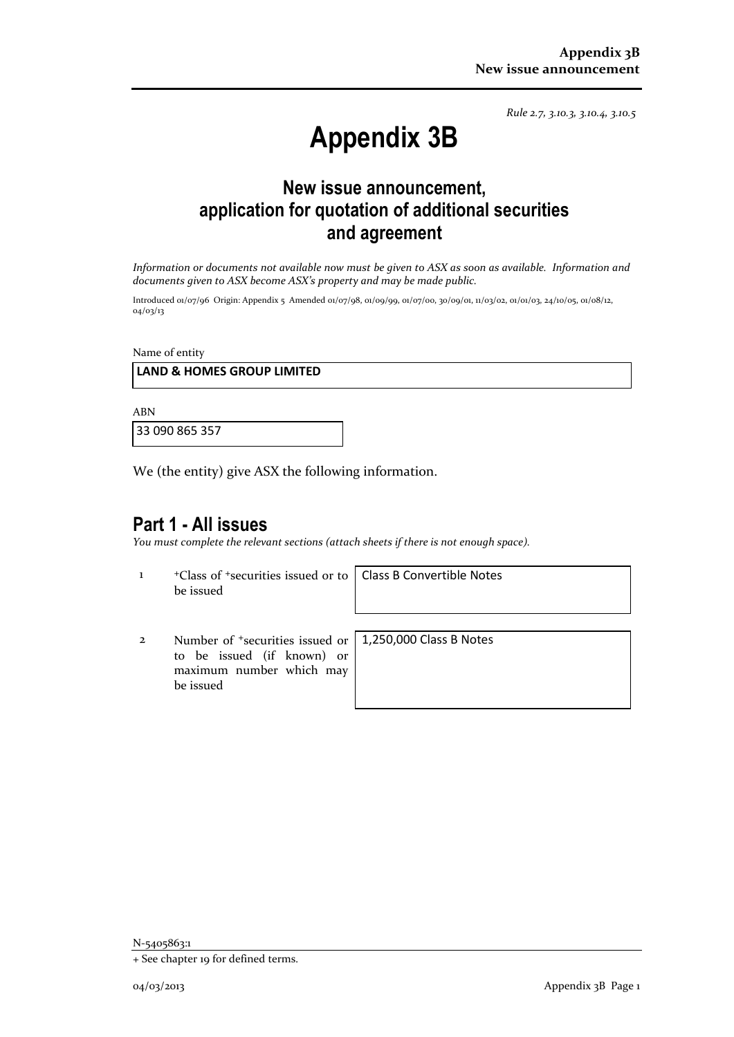*Rule 2.7, 3.10.3, 3.10.4, 3.10.5*

# **Appendix 3B**

# **New issue announcement, application for quotation of additional securities and agreement**

*Information or documents not available now must be given to ASX as soon as available. Information and documents given to ASX become ASX's property and may be made public.*

Introduced 01/07/96 Origin: Appendix 5 Amended 01/07/98, 01/09/99, 01/07/00, 30/09/01, 11/03/02, 01/01/03, 24/10/05, 01/08/12, 04/03/13

Name of entity

#### **LAND & HOMES GROUP LIMITED**

ABN

33 090 865 357

We (the entity) give ASX the following information.

## **Part 1 - All issues**

*You must complete the relevant sections (attach sheets if there is not enough space).*

1 <sup>+</sup>Class of +securities issued or to be issued

Class B Convertible Notes

2 Number of +securities issued or to be issued (if known) or maximum number which may be issued

1,250,000 Class B Notes

N-5405863:1

<sup>+</sup> See chapter 19 for defined terms.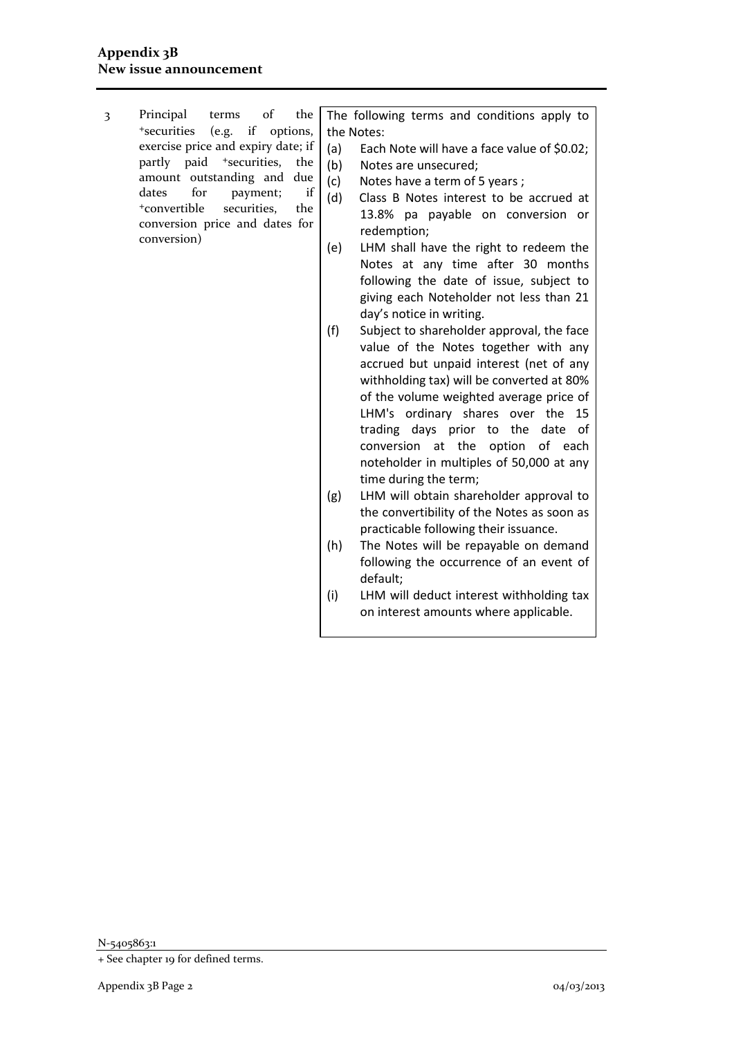3 Principal terms of the <sup>+</sup>securities (e.g. if options, exercise price and expiry date; if partly paid <sup>+</sup>securities, the amount outstanding and due dates for payment; if <sup>+</sup>convertible securities, the conversion price and dates for conversion)

The following terms and conditions apply to the Notes:

- (a) Each Note will have a face value of \$0.02;
- (b) Notes are unsecured;
- (c) Notes have a term of 5 years ;
- (d) Class B Notes interest to be accrued at 13.8% pa payable on conversion or redemption;
- (e) LHM shall have the right to redeem the Notes at any time after 30 months following the date of issue, subject to giving each Noteholder not less than 21 day's notice in writing.
- (f) Subject to shareholder approval, the face value of the Notes together with any accrued but unpaid interest (net of any withholding tax) will be converted at 80% of the volume weighted average price of LHM's ordinary shares over the 15 trading days prior to the date of conversion at the option of each noteholder in multiples of 50,000 at any time during the term;
- (g) LHM will obtain shareholder approval to the convertibility of the Notes as soon as practicable following their issuance.
- (h) The Notes will be repayable on demand following the occurrence of an event of default;
- (i) LHM will deduct interest withholding tax on interest amounts where applicable.

N-5405863:1

<sup>+</sup> See chapter 19 for defined terms.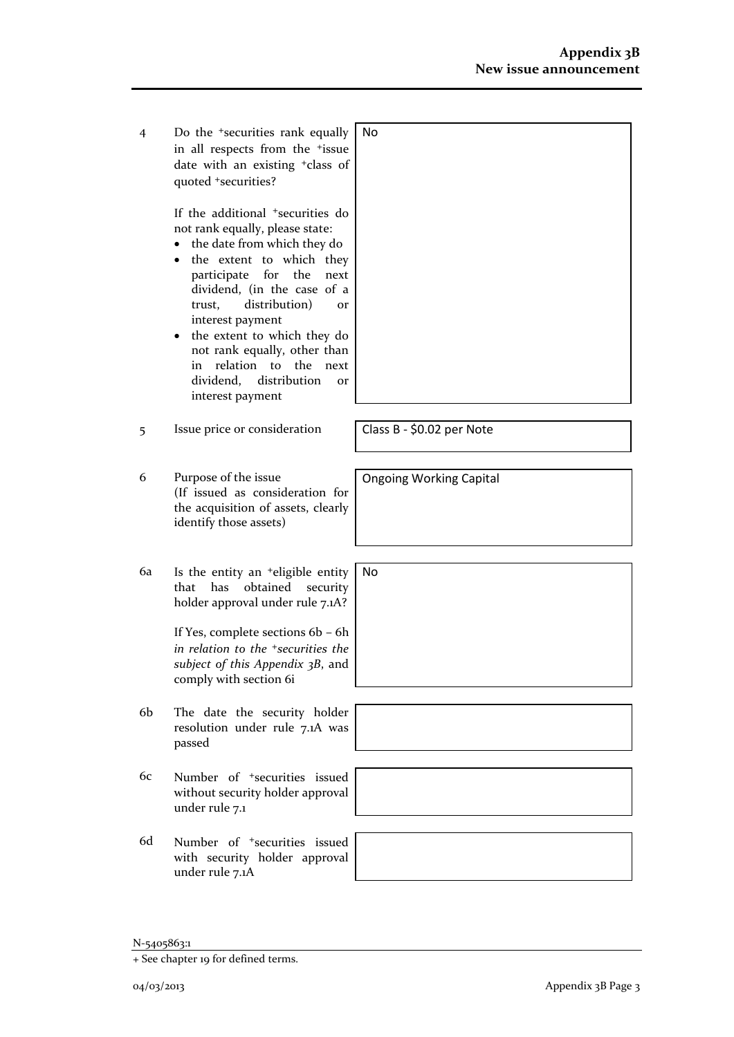4 Do the +securities rank equally in all respects from the +issue date with an existing +class of quoted +securities? No

> If the additional +securities do not rank equally, please state:

- the date from which they do
- the extent to which they participate for the next dividend, (in the case of a trust, distribution) or interest payment
- the extent to which they do not rank equally, other than in relation to the next dividend, distribution or interest payment
- 5 Issue price or consideration Class B \$0.02 per Note
- 6 Purpose of the issue (If issued as consideration for the acquisition of assets, clearly identify those assets)
- 6a Is the entity an +eligible entity that has obtained security holder approval under rule 7.1A?

If Yes, complete sections 6b – 6h *in relation to the +securities the subject of this Appendix 3B*, and comply with section 6i

- 6b The date the security holder resolution under rule 7.1A was passed
- 6c Number of +securities issued without security holder approval under rule 7.1
- 6d Number of +securities issued with security holder approval under rule 7.1A



Ongoing Working Capital

No

<sup>+</sup> See chapter 19 for defined terms.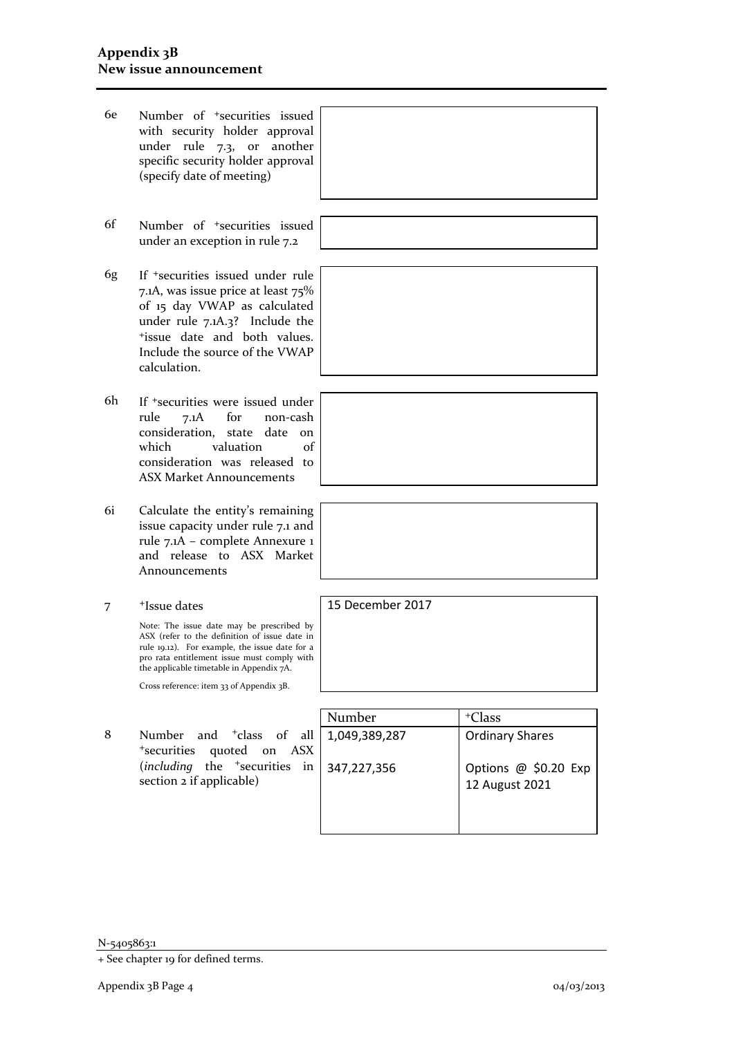- 6e Number of +securities issued with security holder approval under rule 7.3, or another specific security holder approval (specify date of meeting)
- 6f Number of +securities issued under an exception in rule 7.2
- 6g If +securities issued under rule 7.1A, was issue price at least 75% of 15 day VWAP as calculated under rule 7.1A.3? Include the <sup>+</sup>issue date and both values. Include the source of the VWAP calculation.
- 6h If +securities were issued under rule 7.1A for non-cash consideration, state date on which valuation of consideration was released to ASX Market Announcements
- 6i Calculate the entity's remaining issue capacity under rule 7.1 and rule 7.1A – complete Annexure 1 and release to ASX Market Announcements
- 7 +Issue dates

Note: The issue date may be prescribed by ASX (refer to the definition of issue date in rule 19.12). For example, the issue date for a pro rata entitlement issue must comply with the applicable timetable in Appendix 7A.

Cross reference: item 33 of Appendix 3B.

8 Number and <sup>+</sup>class of all <sup>+</sup>securities quoted on ASX (*including* the <sup>+</sup>securities in section 2 if applicable)



N-5405863:1

15 December 2017

<sup>+</sup> See chapter 19 for defined terms.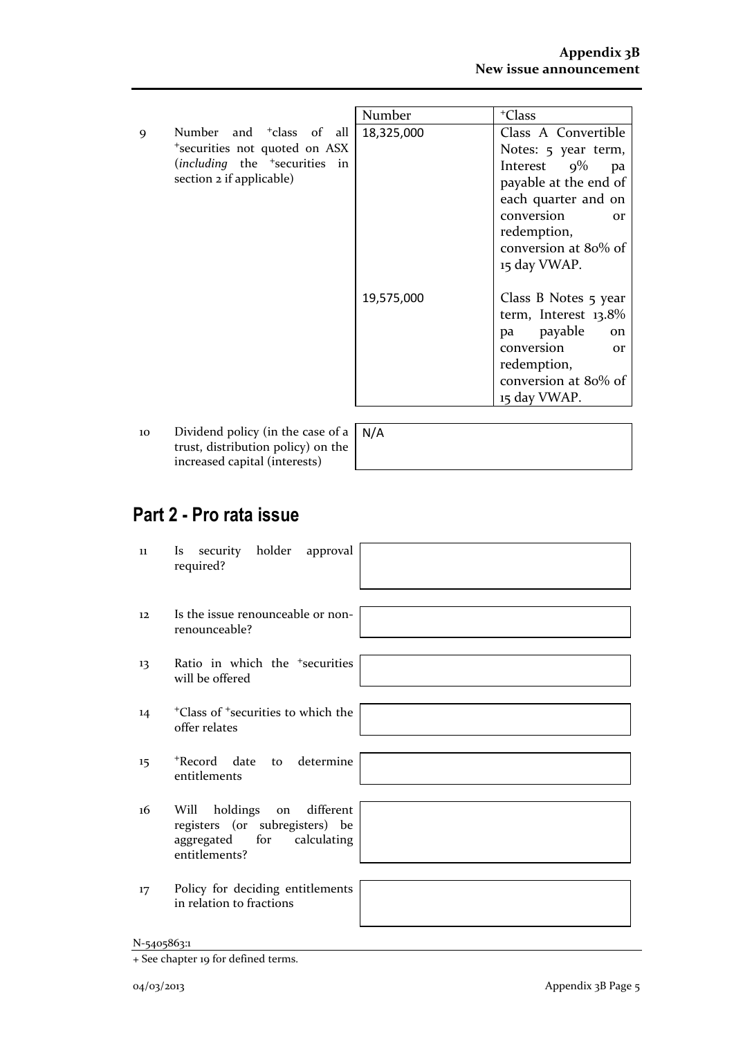|                 |                                                                                                                                                | Number     | <sup>+</sup> Class                                                                                                                                                                                   |
|-----------------|------------------------------------------------------------------------------------------------------------------------------------------------|------------|------------------------------------------------------------------------------------------------------------------------------------------------------------------------------------------------------|
| 9               | Number and <sup>+</sup> class of all<br>*securities not quoted on ASX<br>(including the <sup>+</sup> securities in<br>section 2 if applicable) | 18,325,000 | Class A Convertible<br>Notes: 5 year term,<br>Interest $9\%$<br>pa<br>payable at the end of<br>each quarter and on<br>conversion<br><b>or</b><br>redemption,<br>conversion at 80% of<br>15 day VWAP. |
|                 |                                                                                                                                                | 19,575,000 | Class B Notes 5 year<br>term, Interest $13.8\%$<br>pa payable<br>on<br>conversion<br>or<br>redemption,<br>conversion at 80% of<br>15 day VWAP.                                                       |
| 10 <sup>1</sup> | Dividend policy (in the case of a $\overline{\phantom{a}}$ N/A                                                                                 |            |                                                                                                                                                                                                      |

10 Dividend policy (in the case of a trust, distribution policy) on the increased capital (interests)

# N/A

# **Part 2 - Pro rata issue**

| 11 | security holder approval<br>Is.<br>required?                                                                         |
|----|----------------------------------------------------------------------------------------------------------------------|
| 12 | Is the issue renounceable or non-<br>renounceable?                                                                   |
| 13 | Ratio in which the <sup>+</sup> securities<br>will be offered                                                        |
| 14 | <sup>+</sup> Class of <sup>+</sup> securities to which the<br>offer relates                                          |
| 15 | to determine<br>+Record date<br>entitlements                                                                         |
| 16 | on different<br>holdings<br>Will<br>registers (or subregisters) be<br>aggregated for<br>calculating<br>entitlements? |
| 17 | Policy for deciding entitlements<br>in relation to fractions                                                         |

<sup>+</sup> See chapter 19 for defined terms.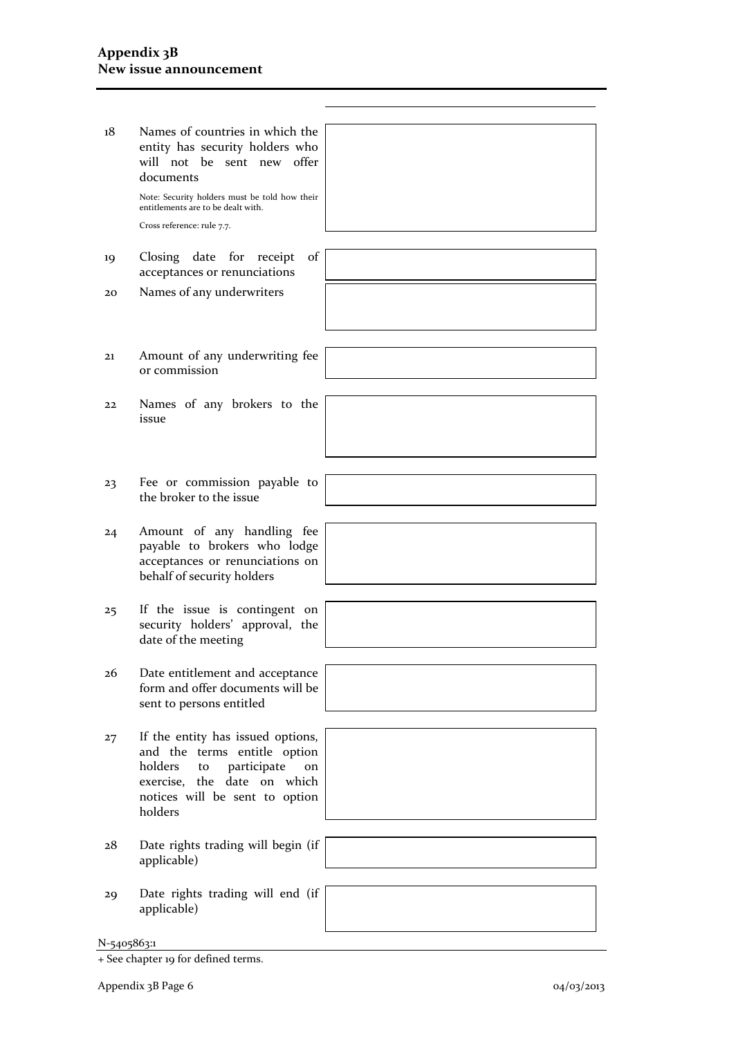| 18 | Names of countries in which the<br>entity has security holders who<br>will not be sent new offer<br>documents<br>Note: Security holders must be told how their                         |  |
|----|----------------------------------------------------------------------------------------------------------------------------------------------------------------------------------------|--|
|    |                                                                                                                                                                                        |  |
|    | entitlements are to be dealt with.                                                                                                                                                     |  |
|    | Cross reference: rule 7.7.                                                                                                                                                             |  |
| 19 | Closing date for<br>receipt<br>of<br>acceptances or renunciations                                                                                                                      |  |
| 20 | Names of any underwriters                                                                                                                                                              |  |
|    |                                                                                                                                                                                        |  |
| 21 | Amount of any underwriting fee<br>or commission                                                                                                                                        |  |
| 22 | Names of any brokers to the                                                                                                                                                            |  |
|    | issue                                                                                                                                                                                  |  |
|    |                                                                                                                                                                                        |  |
| 23 | Fee or commission payable to<br>the broker to the issue                                                                                                                                |  |
| 24 | Amount of any handling fee<br>payable to brokers who lodge<br>acceptances or renunciations on<br>behalf of security holders                                                            |  |
|    | If the issue is contingent on                                                                                                                                                          |  |
| 25 | security holders' approval, the<br>date of the meeting                                                                                                                                 |  |
|    |                                                                                                                                                                                        |  |
| 26 | Date entitlement and acceptance<br>form and offer documents will be<br>sent to persons entitled                                                                                        |  |
|    |                                                                                                                                                                                        |  |
| 27 | If the entity has issued options,<br>and the terms entitle option<br>participate<br>holders<br>to<br>on<br>exercise, the<br>date on which<br>notices will be sent to option<br>holders |  |
|    |                                                                                                                                                                                        |  |
| 28 | Date rights trading will begin (if<br>applicable)                                                                                                                                      |  |
|    |                                                                                                                                                                                        |  |
| 29 | Date rights trading will end (if<br>applicable)                                                                                                                                        |  |

<sup>+</sup> See chapter 19 for defined terms.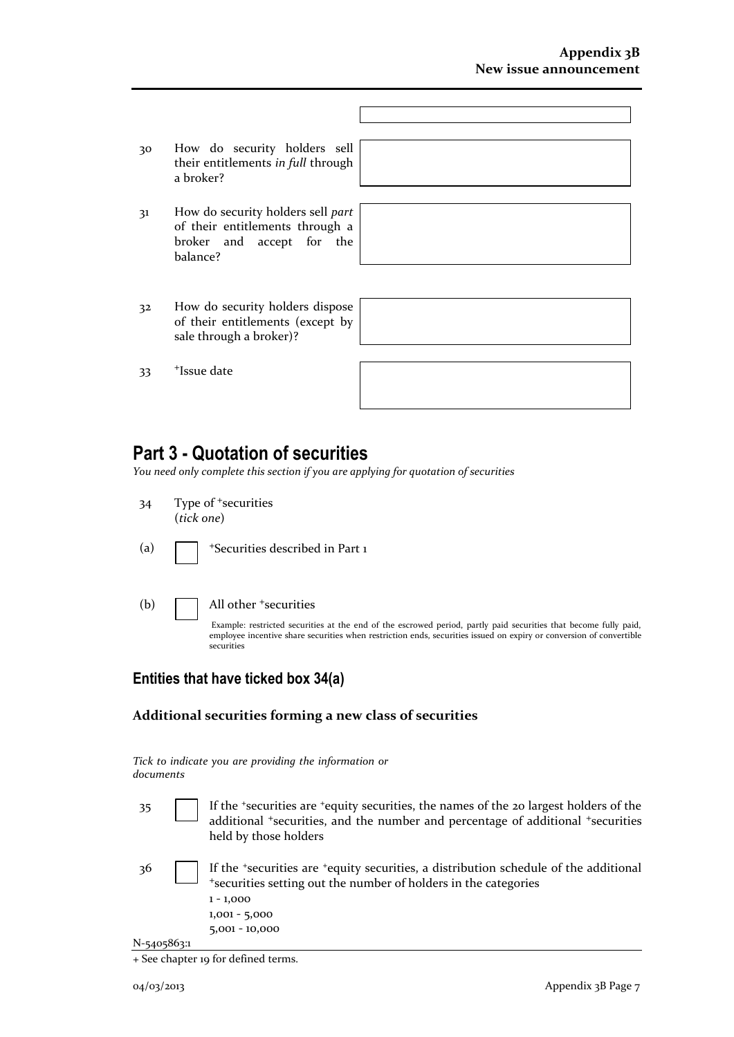- 30 How do security holders sell their entitlements *in full* through a broker?
- 31 How do security holders sell *part* of their entitlements through a broker and accept for the balance?

32 How do security holders dispose of their entitlements (except by sale through a broker)?

33 <sup>+</sup>Issue date



## **Part 3 - Quotation of securities**

*You need only complete this section if you are applying for quotation of securities*

- 34 Type of <sup>+</sup>securities (*tick one*)
- (a)  $\Box$  +Securities described in Part 1
- 

(b)  $\Box$  All other  $\ddagger$  securities

Example: restricted securities at the end of the escrowed period, partly paid securities that become fully paid, employee incentive share securities when restriction ends, securities issued on expiry or conversion of convertible securities

### **Entities that have ticked box 34(a)**

#### **Additional securities forming a new class of securities**

*Tick to indicate you are providing the information or documents*

- 35 If the <sup>+</sup>securities are <sup>+</sup>equity securities, the names of the 20 largest holders of the additional <sup>+</sup>securities, and the number and percentage of additional <sup>+</sup>securities held by those holders
- N-5405863:1 36 If the <sup>+</sup>securities are <sup>+</sup>equity securities, a distribution schedule of the additional <sup>+</sup>securities setting out the number of holders in the categories 1 - 1,000 1,001 - 5,000 5,001 - 10,000

<sup>+</sup> See chapter 19 for defined terms.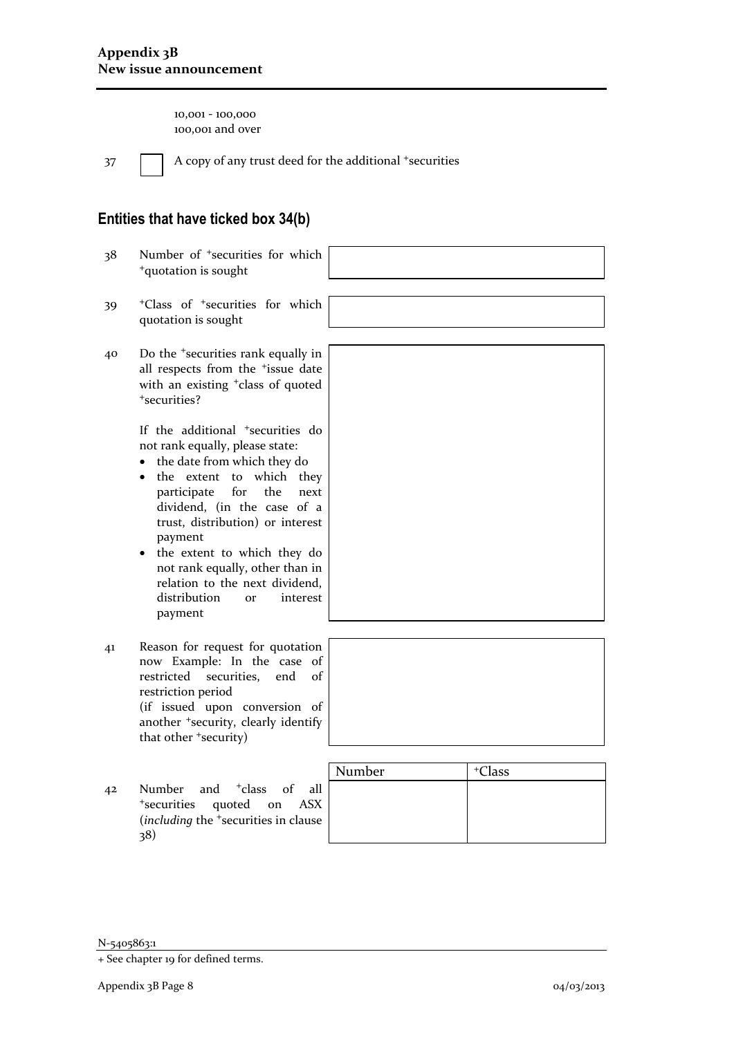10,001 - 100,000 100,001 and over

 $37$  A copy of any trust deed for the additional  $+$ securities

### **Entities that have ticked box 34(b)**

- 38 Number of <sup>+</sup>securities for which <sup>+</sup>quotation is sought
- 39 <sup>+</sup>Class of <sup>+</sup>securities for which quotation is sought
- 40 Do the <sup>+</sup>securities rank equally in all respects from the <sup>+</sup>issue date with an existing <sup>+</sup>class of quoted <sup>+</sup>securities?

If the additional <sup>+</sup>securities do not rank equally, please state:

- the date from which they do
- the extent to which they participate for the next dividend, (in the case of a trust, distribution) or interest payment
- the extent to which they do not rank equally, other than in relation to the next dividend, distribution or interest payment
- 41 Reason for request for quotation now Example: In the case of restricted securities, end of restriction period (if issued upon conversion of another <sup>+</sup>security, clearly identify that other <sup>+</sup>security)
- 42 Number and <sup>+</sup>class of all <sup>+</sup>securities quoted on ASX (*including* the <sup>+</sup>securities in clause 38)

| Number | <sup>+</sup> Class |  |
|--------|--------------------|--|
|        |                    |  |
|        |                    |  |
|        |                    |  |

N-5405863:1

<sup>+</sup> See chapter 19 for defined terms.